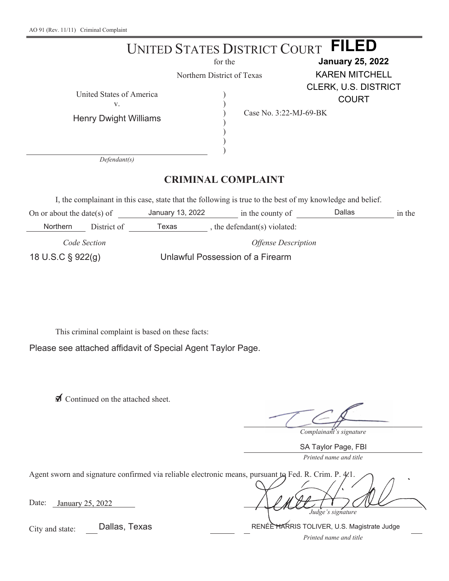|                                                                                                                                        |                                              |                  | UNITED STATES DISTRICT COURT | <b>FILED</b>                |        |  |  |
|----------------------------------------------------------------------------------------------------------------------------------------|----------------------------------------------|------------------|------------------------------|-----------------------------|--------|--|--|
| for the                                                                                                                                |                                              |                  | <b>January 25, 2022</b>      |                             |        |  |  |
|                                                                                                                                        | Northern District of Texas                   |                  |                              | <b>KAREN MITCHELL</b>       |        |  |  |
|                                                                                                                                        |                                              |                  |                              | <b>CLERK, U.S. DISTRICT</b> |        |  |  |
|                                                                                                                                        | United States of America<br>V.               |                  |                              | <b>COURT</b>                |        |  |  |
|                                                                                                                                        | <b>Henry Dwight Williams</b><br>Defendant(s) |                  | Case No. 3:22-MJ-69-BK       |                             |        |  |  |
| <b>CRIMINAL COMPLAINT</b><br>I, the complainant in this case, state that the following is true to the best of my knowledge and belief. |                                              |                  |                              |                             |        |  |  |
| On or about the date(s) of                                                                                                             |                                              | January 13, 2022 | in the county of             | Dallas                      | in the |  |  |
| Northern                                                                                                                               | District of                                  | Texas            | , the defendant(s) violated: |                             |        |  |  |

*Code Section Offense Description* 18 U.S.C § 922(g) Unlawful Possession of a Firearm

This criminal complaint is based on these facts:

Please see attached affidavit of Special Agent Taylor Page.

◯ Continued on the attached sheet.

*Complainant's signature*

SA Taylor Page, FBI

*Printed name and title*

| Agent sworn and signature confirmed via reliable electronic means, pursuant to Fed. R. Crim. P. 4.1. |                   |
|------------------------------------------------------------------------------------------------------|-------------------|
| Date:<br>January 25, 2022                                                                            | Judge's signature |

Dallas, Texas **RENÉE HARRIS TOLIVER, U.S. Magistrate Judge** 

City and state:

*Printed name and title*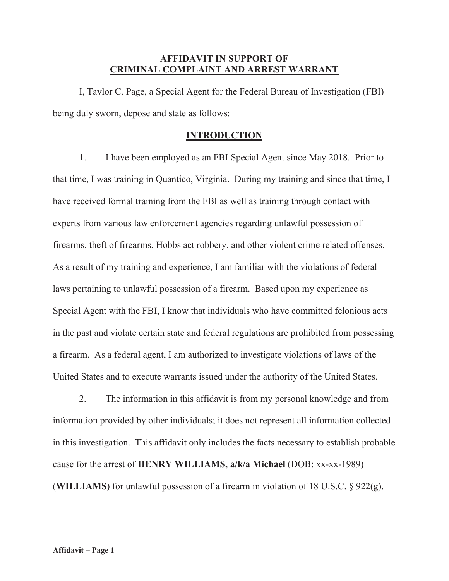# **AFFIDAVIT IN SUPPORT OF CRIMINAL COMPLAINT AND ARREST WARRANT**

 I, Taylor C. Page, a Special Agent for the Federal Bureau of Investigation (FBI) being duly sworn, depose and state as follows:

## **INTRODUCTION**

1. I have been employed as an FBI Special Agent since May 2018. Prior to that time, I was training in Quantico, Virginia. During my training and since that time, I have received formal training from the FBI as well as training through contact with experts from various law enforcement agencies regarding unlawful possession of firearms, theft of firearms, Hobbs act robbery, and other violent crime related offenses. As a result of my training and experience, I am familiar with the violations of federal laws pertaining to unlawful possession of a firearm. Based upon my experience as Special Agent with the FBI, I know that individuals who have committed felonious acts in the past and violate certain state and federal regulations are prohibited from possessing a firearm. As a federal agent, I am authorized to investigate violations of laws of the United States and to execute warrants issued under the authority of the United States.

2. The information in this affidavit is from my personal knowledge and from information provided by other individuals; it does not represent all information collected in this investigation. This affidavit only includes the facts necessary to establish probable cause for the arrest of **HENRY WILLIAMS, a/k/a Michael** (DOB: xx-xx-1989) (**WILLIAMS**) for unlawful possession of a firearm in violation of 18 U.S.C. § 922(g).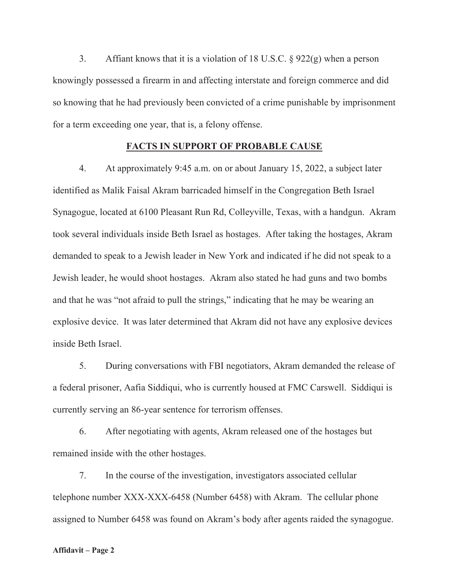3. Affiant knows that it is a violation of 18 U.S.C.  $\S 922(g)$  when a person knowingly possessed a firearm in and affecting interstate and foreign commerce and did so knowing that he had previously been convicted of a crime punishable by imprisonment for a term exceeding one year, that is, a felony offense.

#### **FACTS IN SUPPORT OF PROBABLE CAUSE**

4. At approximately 9:45 a.m. on or about January 15, 2022, a subject later identified as Malik Faisal Akram barricaded himself in the Congregation Beth Israel Synagogue, located at 6100 Pleasant Run Rd, Colleyville, Texas, with a handgun. Akram took several individuals inside Beth Israel as hostages. After taking the hostages, Akram demanded to speak to a Jewish leader in New York and indicated if he did not speak to a Jewish leader, he would shoot hostages. Akram also stated he had guns and two bombs and that he was "not afraid to pull the strings," indicating that he may be wearing an explosive device. It was later determined that Akram did not have any explosive devices inside Beth Israel.

5. During conversations with FBI negotiators, Akram demanded the release of a federal prisoner, Aafia Siddiqui, who is currently housed at FMC Carswell. Siddiqui is currently serving an 86-year sentence for terrorism offenses.

6. After negotiating with agents, Akram released one of the hostages but remained inside with the other hostages.

7. In the course of the investigation, investigators associated cellular telephone number XXX-XXX-6458 (Number 6458) with Akram. The cellular phone assigned to Number 6458 was found on Akram's body after agents raided the synagogue.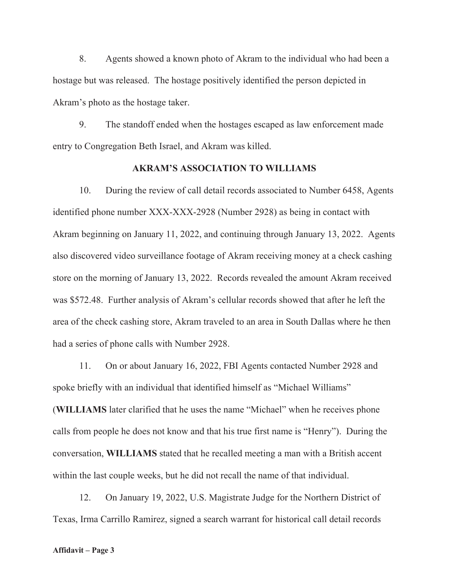8. Agents showed a known photo of Akram to the individual who had been a hostage but was released. The hostage positively identified the person depicted in Akram's photo as the hostage taker.

9. The standoff ended when the hostages escaped as law enforcement made entry to Congregation Beth Israel, and Akram was killed.

## **AKRAM'S ASSOCIATION TO WILLIAMS**

10. During the review of call detail records associated to Number 6458, Agents identified phone number XXX-XXX-2928 (Number 2928) as being in contact with Akram beginning on January 11, 2022, and continuing through January 13, 2022. Agents also discovered video surveillance footage of Akram receiving money at a check cashing store on the morning of January 13, 2022. Records revealed the amount Akram received was \$572.48. Further analysis of Akram's cellular records showed that after he left the area of the check cashing store, Akram traveled to an area in South Dallas where he then had a series of phone calls with Number 2928.

11. On or about January 16, 2022, FBI Agents contacted Number 2928 and spoke briefly with an individual that identified himself as "Michael Williams" (**WILLIAMS** later clarified that he uses the name "Michael" when he receives phone calls from people he does not know and that his true first name is "Henry"). During the conversation, **WILLIAMS** stated that he recalled meeting a man with a British accent within the last couple weeks, but he did not recall the name of that individual.

12. On January 19, 2022, U.S. Magistrate Judge for the Northern District of Texas, Irma Carrillo Ramirez, signed a search warrant for historical call detail records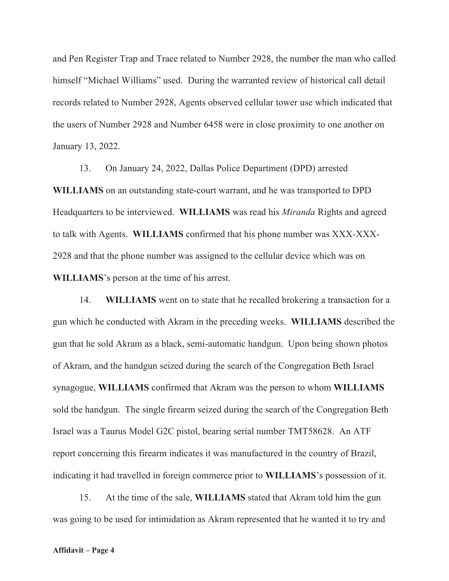and Pen Register Trap and Trace related to Number 2928, the number the man who called himself "Michael Williams" used. During the warranted review of historical call detail records related to Number 2928, Agents observed cellular tower use which indicated that the users of Number 2928 and Number 6458 were in close proximity to one another on January 13, 2022.

13. On January 24, 2022, Dallas Police Department (DPD) arrested **WILLIAMS** on an outstanding state-court warrant, and he was transported to DPD Headquarters to be interviewed. **WILLIAMS** was read his *Miranda* Rights and agreed to talk with Agents. **WILLIAMS** confirmed that his phone number was XXX-XXX-2928 and that the phone number was assigned to the cellular device which was on **WILLIAMS**'s person at the time of his arrest.

14. **WILLIAMS** went on to state that he recalled brokering a transaction for a gun which he conducted with Akram in the preceding weeks. **WILLIAMS** described the gun that he sold Akram as a black, semi-automatic handgun. Upon being shown photos of Akram, and the handgun seized during the search of the Congregation Beth Israel synagogue, **WILLIAMS** confirmed that Akram was the person to whom **WILLIAMS** sold the handgun. The single firearm seized during the search of the Congregation Beth Israel was a Taurus Model G2C pistol, bearing serial number TMT58628. An ATF report concerning this firearm indicates it was manufactured in the country of Brazil, indicating it had travelled in foreign commerce prior to **WILLIAMS**'s possession of it.

15. At the time of the sale, **WILLIAMS** stated that Akram told him the gun was going to be used for intimidation as Akram represented that he wanted it to try and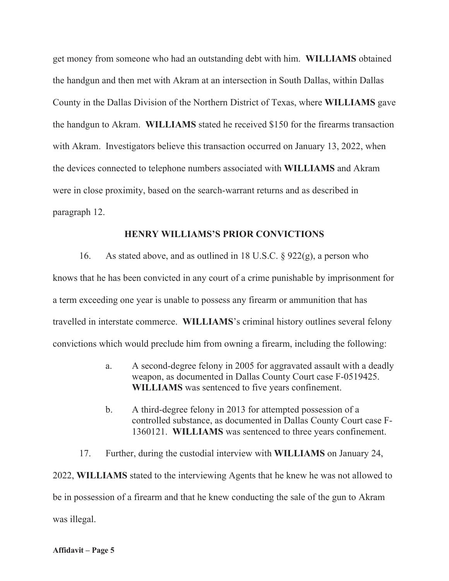get money from someone who had an outstanding debt with him. **WILLIAMS** obtained the handgun and then met with Akram at an intersection in South Dallas, within Dallas County in the Dallas Division of the Northern District of Texas, where **WILLIAMS** gave the handgun to Akram. **WILLIAMS** stated he received \$150 for the firearms transaction with Akram. Investigators believe this transaction occurred on January 13, 2022, when the devices connected to telephone numbers associated with **WILLIAMS** and Akram were in close proximity, based on the search-warrant returns and as described in paragraph 12.

#### **HENRY WILLIAMS'S PRIOR CONVICTIONS**

16. As stated above, and as outlined in 18 U.S.C. § 922(g), a person who knows that he has been convicted in any court of a crime punishable by imprisonment for a term exceeding one year is unable to possess any firearm or ammunition that has travelled in interstate commerce. **WILLIAMS**'s criminal history outlines several felony convictions which would preclude him from owning a firearm, including the following:

- a. A second-degree felony in 2005 for aggravated assault with a deadly weapon, as documented in Dallas County Court case F-0519425. **WILLIAMS** was sentenced to five years confinement.
- b. A third-degree felony in 2013 for attempted possession of a controlled substance, as documented in Dallas County Court case F- 1360121. **WILLIAMS** was sentenced to three years confinement.

17. Further, during the custodial interview with **WILLIAMS** on January 24, 2022, **WILLIAMS** stated to the interviewing Agents that he knew he was not allowed to be in possession of a firearm and that he knew conducting the sale of the gun to Akram was illegal.